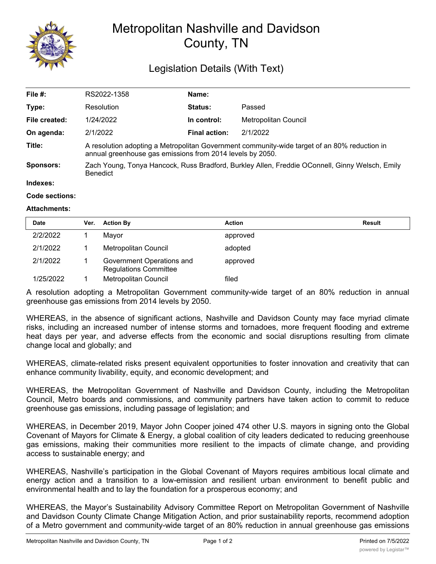

## Metropolitan Nashville and Davidson County, TN

## Legislation Details (With Text)

| File #:          | RS2022-1358                                                                                                                                               | Name:                |                      |  |  |
|------------------|-----------------------------------------------------------------------------------------------------------------------------------------------------------|----------------------|----------------------|--|--|
| Type:            | Resolution                                                                                                                                                | <b>Status:</b>       | Passed               |  |  |
| File created:    | 1/24/2022                                                                                                                                                 | In control:          | Metropolitan Council |  |  |
| On agenda:       | 2/1/2022                                                                                                                                                  | <b>Final action:</b> | 2/1/2022             |  |  |
| Title:           | A resolution adopting a Metropolitan Government community-wide target of an 80% reduction in<br>annual greenhouse gas emissions from 2014 levels by 2050. |                      |                      |  |  |
| <b>Sponsors:</b> | Zach Young, Tonya Hancock, Russ Bradford, Burkley Allen, Freddie OConnell, Ginny Welsch, Emily<br><b>Benedict</b>                                         |                      |                      |  |  |
| Indexes:         |                                                                                                                                                           |                      |                      |  |  |
| Code sections:   |                                                                                                                                                           |                      |                      |  |  |

## **Attachments:**

| <b>Date</b> | Ver. | <b>Action By</b>                                          | <b>Action</b> | <b>Result</b> |
|-------------|------|-----------------------------------------------------------|---------------|---------------|
| 2/2/2022    |      | Mayor                                                     | approved      |               |
| 2/1/2022    |      | Metropolitan Council                                      | adopted       |               |
| 2/1/2022    |      | Government Operations and<br><b>Regulations Committee</b> | approved      |               |
| 1/25/2022   |      | Metropolitan Council                                      | filed         |               |

A resolution adopting a Metropolitan Government community-wide target of an 80% reduction in annual greenhouse gas emissions from 2014 levels by 2050.

WHEREAS, in the absence of significant actions, Nashville and Davidson County may face myriad climate risks, including an increased number of intense storms and tornadoes, more frequent flooding and extreme heat days per year, and adverse effects from the economic and social disruptions resulting from climate change local and globally; and

WHEREAS, climate-related risks present equivalent opportunities to foster innovation and creativity that can enhance community livability, equity, and economic development; and

WHEREAS, the Metropolitan Government of Nashville and Davidson County, including the Metropolitan Council, Metro boards and commissions, and community partners have taken action to commit to reduce greenhouse gas emissions, including passage of legislation; and

WHEREAS, in December 2019, Mayor John Cooper joined 474 other U.S. mayors in signing onto the Global Covenant of Mayors for Climate & Energy, a global coalition of city leaders dedicated to reducing greenhouse gas emissions, making their communities more resilient to the impacts of climate change, and providing access to sustainable energy; and

WHEREAS, Nashville's participation in the Global Covenant of Mayors requires ambitious local climate and energy action and a transition to a low-emission and resilient urban environment to benefit public and environmental health and to lay the foundation for a prosperous economy; and

WHEREAS, the Mayor's Sustainability Advisory Committee Report on Metropolitan Government of Nashville and Davidson County Climate Change Mitigation Action, and prior sustainability reports, recommend adoption of a Metro government and community-wide target of an 80% reduction in annual greenhouse gas emissions